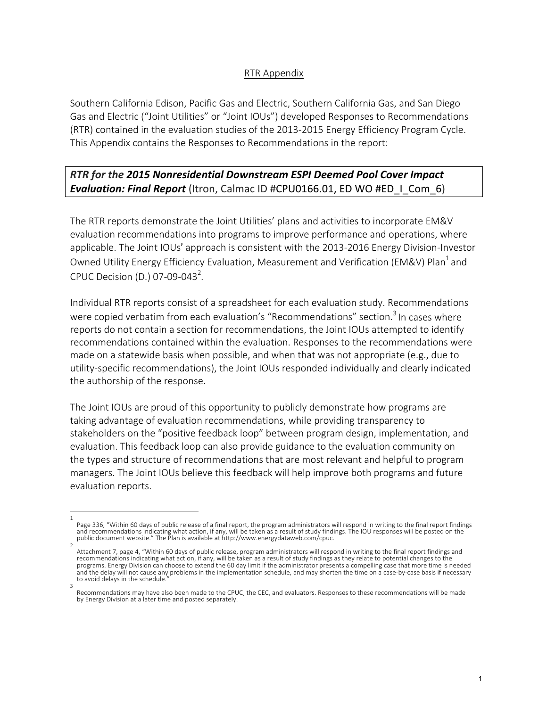### RTR Appendix

Southern California Edison, Pacific Gas and Electric, Southern California Gas, and San Diego Gas and Electric ("Joint Utilities" or "Joint IOUs") developed Responses to Recommendations (RTR) contained in the evaluation studies of the 2013-2015 Energy Efficiency Program Cycle. This Appendix contains the Responses to Recommendations in the report:

### **RTR** for the 2015 Nonresidential Downstream ESPI Deemed Pool Cover Impact **Evaluation: Final Report** (Itron, Calmac ID #CPU0166.01, ED WO #ED\_I\_Com\_6)

The RTR reports demonstrate the Joint Utilities' plans and activities to incorporate EM&V evaluation recommendations into programs to improve performance and operations, where applicable. The Joint IOUs' approach is consistent with the 2013-2016 Energy Division-Investor Owned Utility Energy Efficiency Evaluation, Measurement and Verification (EM&V) Plan<sup>1</sup> and CPUC Decision (D.) 07-09-043<sup>2</sup>.

Individual RTR reports consist of a spreadsheet for each evaluation study. Recommendations were copied verbatim from each evaluation's "Recommendations" section.<sup>3</sup> In cases where reports do not contain a section for recommendations, the Joint IOUs attempted to identify recommendations contained within the evaluation. Responses to the recommendations were made on a statewide basis when possible, and when that was not appropriate  $(e.g.,$  due to utility-specific recommendations), the Joint IOUs responded individually and clearly indicated the authorship of the response.

The Joint IOUs are proud of this opportunity to publicly demonstrate how programs are taking advantage of evaluation recommendations, while providing transparency to stakeholders on the "positive feedback loop" between program design, implementation, and evaluation. This feedback loop can also provide guidance to the evaluation community on the types and structure of recommendations that are most relevant and helpful to program managers. The Joint IOUs believe this feedback will help improve both programs and future evaluation reports.

<sup>1</sup>  Page 336, "Within 60 days of public release of a final report, the program administrators will respond in writing to the final report findings and recommendations indicating what action, if any, will be taken as a result of study findings. The IOU responses will be posted on the public document website." The Plan is available at http://www.energydataweb.com/cpuc.

<sup>2</sup>  Attachment 7, page 4, "Within 60 days of public release, program administrators will respond in writing to the final report findings and recommendations indicating what action, if any, will be taken as a result of study findings as they relate to potential changes to the programs. Energy Division can choose to extend the 60 day limit if the administrator presents a compelling case that more time is needed and the delay will not cause any problems in the implementation schedule, and may shorten the time on a case-by-case basis if necessary to avoid delays in the schedule. 3 

Recommendations may have also been made to the CPUC, the CEC, and evaluators. Responses to these recommendations will be made by Energy Division at a later time and posted separately.